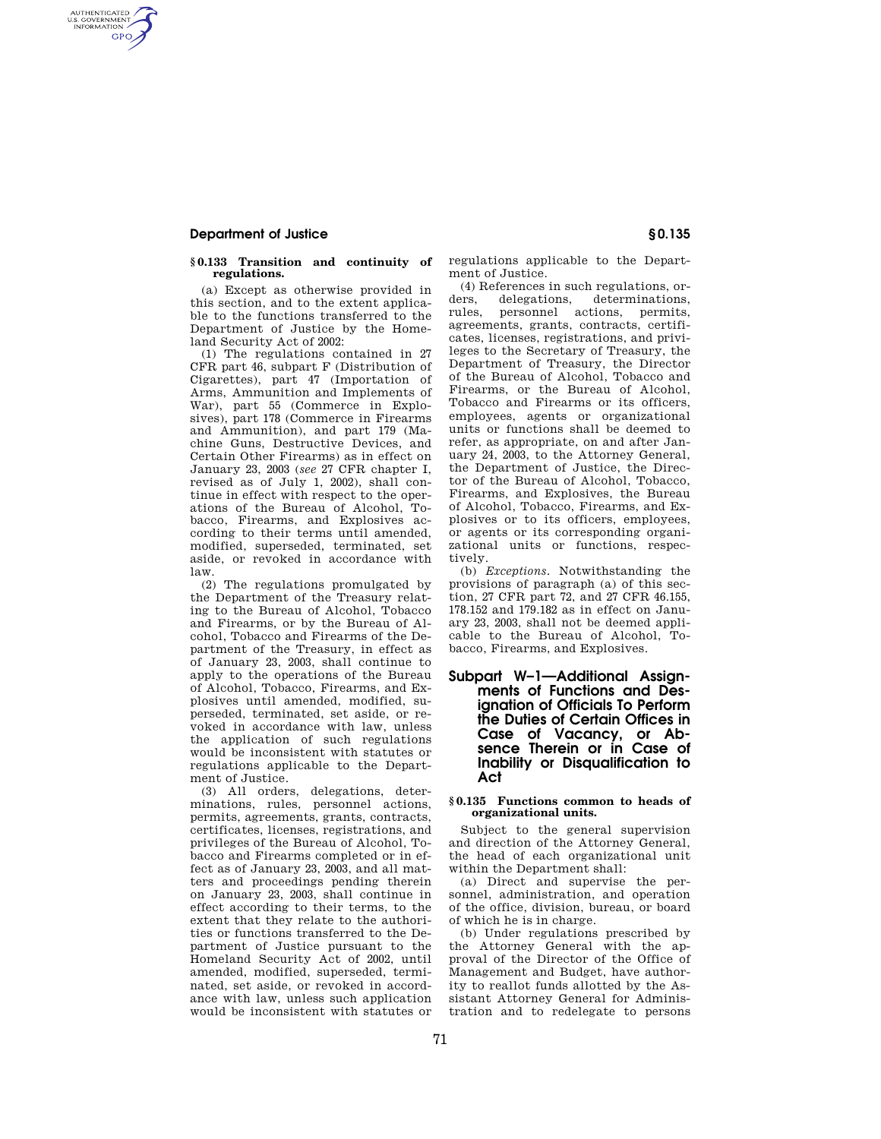## **Department of Justice § 0.135**

AUTHENTICATED<br>U.S. GOVERNMENT<br>INFORMATION **GPO** 

### **§ 0.133 Transition and continuity of regulations.**

(a) Except as otherwise provided in this section, and to the extent applicable to the functions transferred to the Department of Justice by the Homeland Security Act of 2002:

(1) The regulations contained in 27 CFR part 46, subpart F (Distribution of Cigarettes), part 47 (Importation of Arms, Ammunition and Implements of War), part 55 (Commerce in Explosives), part 178 (Commerce in Firearms and Ammunition), and part 179 (Machine Guns, Destructive Devices, and Certain Other Firearms) as in effect on January 23, 2003 (*see* 27 CFR chapter I, revised as of July 1, 2002), shall continue in effect with respect to the operations of the Bureau of Alcohol, Tobacco, Firearms, and Explosives according to their terms until amended, modified, superseded, terminated, set aside, or revoked in accordance with law.

(2) The regulations promulgated by the Department of the Treasury relating to the Bureau of Alcohol, Tobacco and Firearms, or by the Bureau of Alcohol, Tobacco and Firearms of the Department of the Treasury, in effect as of January 23, 2003, shall continue to apply to the operations of the Bureau of Alcohol, Tobacco, Firearms, and Explosives until amended, modified, superseded, terminated, set aside, or revoked in accordance with law, unless the application of such regulations would be inconsistent with statutes or regulations applicable to the Department of Justice.

(3) All orders, delegations, determinations, rules, personnel actions, permits, agreements, grants, contracts, certificates, licenses, registrations, and privileges of the Bureau of Alcohol, Tobacco and Firearms completed or in effect as of January 23, 2003, and all matters and proceedings pending therein on January 23, 2003, shall continue in effect according to their terms, to the extent that they relate to the authorities or functions transferred to the Department of Justice pursuant to the Homeland Security Act of 2002, until amended, modified, superseded, terminated, set aside, or revoked in accordance with law, unless such application would be inconsistent with statutes or regulations applicable to the Department of Justice.

(4) References in such regulations, orders. delegations, determinations, delegations, determinations, rules, personnel actions, permits, agreements, grants, contracts, certificates, licenses, registrations, and privileges to the Secretary of Treasury, the Department of Treasury, the Director of the Bureau of Alcohol, Tobacco and Firearms, or the Bureau of Alcohol, Tobacco and Firearms or its officers, employees, agents or organizational units or functions shall be deemed to refer, as appropriate, on and after January 24, 2003, to the Attorney General, the Department of Justice, the Director of the Bureau of Alcohol, Tobacco, Firearms, and Explosives, the Bureau of Alcohol, Tobacco, Firearms, and Explosives or to its officers, employees, or agents or its corresponding organizational units or functions, respectively.

(b) *Exceptions.* Notwithstanding the provisions of paragraph (a) of this section, 27 CFR part 72, and 27 CFR 46.155, 178.152 and 179.182 as in effect on January 23, 2003, shall not be deemed applicable to the Bureau of Alcohol, Tobacco, Firearms, and Explosives.

## **Subpart W–1—Additional Assignments of Functions and Designation of Officials To Perform the Duties of Certain Offices in Case of Vacancy, or Absence Therein or in Case of Inability or Disqualification to Act**

### **§ 0.135 Functions common to heads of organizational units.**

Subject to the general supervision and direction of the Attorney General, the head of each organizational unit within the Department shall:

(a) Direct and supervise the personnel, administration, and operation of the office, division, bureau, or board of which he is in charge.

(b) Under regulations prescribed by the Attorney General with the approval of the Director of the Office of Management and Budget, have authority to reallot funds allotted by the Assistant Attorney General for Administration and to redelegate to persons